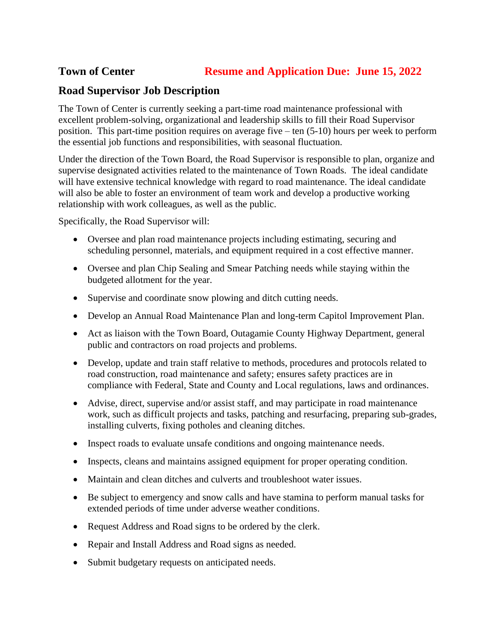## **Road Supervisor Job Description**

The Town of Center is currently seeking a part-time road maintenance professional with excellent problem-solving, organizational and leadership skills to fill their Road Supervisor position. This part-time position requires on average five – ten (5-10) hours per week to perform the essential job functions and responsibilities, with seasonal fluctuation.

Under the direction of the Town Board, the Road Supervisor is responsible to plan, organize and supervise designated activities related to the maintenance of Town Roads. The ideal candidate will have extensive technical knowledge with regard to road maintenance. The ideal candidate will also be able to foster an environment of team work and develop a productive working relationship with work colleagues, as well as the public.

Specifically, the Road Supervisor will:

- Oversee and plan road maintenance projects including estimating, securing and scheduling personnel, materials, and equipment required in a cost effective manner.
- Oversee and plan Chip Sealing and Smear Patching needs while staying within the budgeted allotment for the year.
- Supervise and coordinate snow plowing and ditch cutting needs.
- Develop an Annual Road Maintenance Plan and long-term Capitol Improvement Plan.
- Act as liaison with the Town Board, Outagamie County Highway Department, general public and contractors on road projects and problems.
- Develop, update and train staff relative to methods, procedures and protocols related to road construction, road maintenance and safety; ensures safety practices are in compliance with Federal, State and County and Local regulations, laws and ordinances.
- Advise, direct, supervise and/or assist staff, and may participate in road maintenance work, such as difficult projects and tasks, patching and resurfacing, preparing sub-grades, installing culverts, fixing potholes and cleaning ditches.
- Inspect roads to evaluate unsafe conditions and ongoing maintenance needs.
- Inspects, cleans and maintains assigned equipment for proper operating condition.
- Maintain and clean ditches and culverts and troubleshoot water issues.
- Be subject to emergency and snow calls and have stamina to perform manual tasks for extended periods of time under adverse weather conditions.
- Request Address and Road signs to be ordered by the clerk.
- Repair and Install Address and Road signs as needed.
- Submit budgetary requests on anticipated needs.